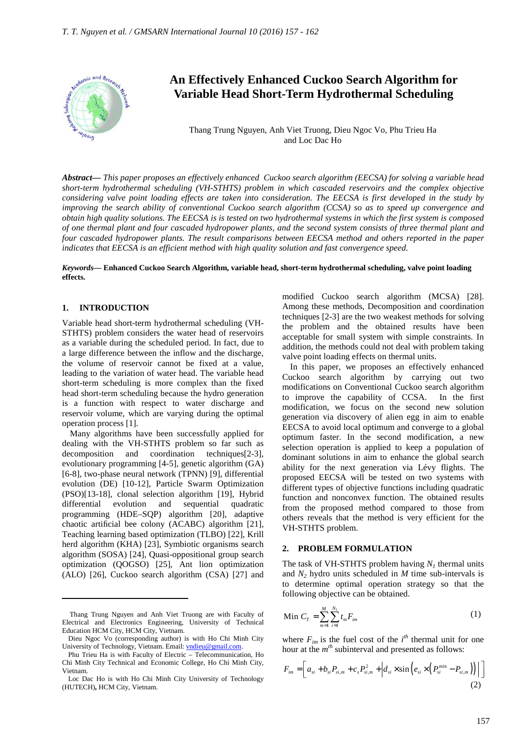

# **An Effectively Enhanced Cuckoo Search Algorithm for Variable Head Short-Term Hydrothermal Scheduling**

Thang Trung Nguyen, Anh Viet Truong, Dieu Ngoc Vo, Phu Trieu Ha and Loc Dac Ho

*Abstract***—** *This paper proposes an effectively enhanced Cuckoo search algorithm (EECSA) for solving a variable head short-term hydrothermal scheduling (VH-STHTS) problem in which cascaded reservoirs and the complex objective considering valve point loading effects are taken into consideration. The EECSA is first developed in the study by improving the search ability of conventional Cuckoo search algorithm (CCSA) so as to speed up convergence and obtain high quality solutions. The EECSA is is tested on two hydrothermal systems in which the first system is composed of one thermal plant and four cascaded hydropower plants, and the second system consists of three thermal plant and four cascaded hydropower plants. The result comparisons between EECSA method and others reported in the paper indicates that EECSA is an efficient method with high quality solution and fast convergence speed.*

### *Keywords***— Enhanced Cuckoo Search Algorithm, variable head, short-term hydrothermal scheduling, valve point loading effects.**

### **1. INTRODUCTION**

 $\overline{a}$ 

Variable head short-term hydrothermal scheduling (VH-STHTS) problem considers the water head of reservoirs as a variable during the scheduled period. In fact, due to a large difference between the inflow and the discharge, the volume of reservoir cannot be fixed at a value, leading to the variation of water head. The variable head short-term scheduling is more complex than the fixed head short-term scheduling because the hydro generation is a function with respect to water discharge and reservoir volume, which are varying during the optimal operation process [1].

Many algorithms have been successfully applied for dealing with the VH-STHTS problem so far such as decomposition and coordination techniques[2-3], evolutionary programming [4-5], genetic algorithm (GA) [6-8], two-phase neural network (TPNN) [9], differential evolution (DE) [10-12], Particle Swarm Optimization (PSO)[13-18], clonal selection algorithm [19], Hybrid differential evolution and sequential quadratic programming (HDE–SQP) algorithm [20], adaptive chaotic artificial bee colony (ACABC) algorithm [21], Teaching learning based optimization (TLBO) [22], Krill herd algorithm (KHA) [23], Symbiotic organisms search algorithm (SOSA) [24], Quasi-oppositional group search optimization (QOGSO) [25], Ant lion optimization (ALO) [26], Cuckoo search algorithm (CSA) [27] and

modified Cuckoo search algorithm (MCSA) [28]. Among these methods, Decomposition and coordination techniques [2-3] are the two weakest methods for solving the problem and the obtained results have been acceptable for small system with simple constraints. In addition, the methods could not deal with problem taking valve point loading effects on thermal units.

In this paper, we proposes an effectively enhanced Cuckoo search algorithm by carrying out two modifications on Conventional Cuckoo search algorithm to improve the capability of CCSA. In the first modification, we focus on the second new solution generation via discovery of alien egg in aim to enable EECSA to avoid local optimum and converge to a global optimum faster. In the second modification, a new selection operation is applied to keep a population of dominant solutions in aim to enhance the global search ability for the next generation via Lévy flights. The proposed EECSA will be tested on two systems with different types of objective functions including quadratic function and nonconvex function. The obtained results from the proposed method compared to those from others reveals that the method is very efficient for the VH-STHTS problem.

### **2. PROBLEM FORMULATION**

The task of VH-STHTS problem having  $N_I$  thermal units and  $N_2$  hydro units scheduled in  $M$  time sub-intervals is to determine optimal operation strategy so that the following objective can be obtained.

Min 
$$
C_T = \sum_{m=1}^{M} \sum_{i=1}^{N_1} t_m F_{im}
$$
 (1)

where  $F_{im}$  is the fuel cost of the  $i<sup>th</sup>$  thermal unit for one hour at the  $m<sup>th</sup>$  subinterval and presented as follows:

$$
F_{im} = \left[ a_{si} + b_{si} P_{si,m} + c_s P_{si,m}^2 + \left| d_{si} \times \sin\left(e_{si} \times \left(P_{si}^{\min} - P_{si,m}\right)\right) \right| \right]
$$
\n(2)

Thang Trung Nguyen and Anh Viet Truong are with Faculty of Electrical and Electronics Engineering, University of Technical Education HCM City, HCM City, Vietnam.

Dieu Ngoc Vo (corresponding author) is with Ho Chi Minh City University of Technology, Vietnam. Email: vndieu@gmail.com.

Phu Trieu Ha is with Faculty of Electric – Telecommunication, Ho Chi Minh City Technical and Economic College, Ho Chi Minh City, Vietnam.

Loc Dac Ho is with Ho Chi Minh City University of Technology (HUTECH)**,** HCM City, Vietnam.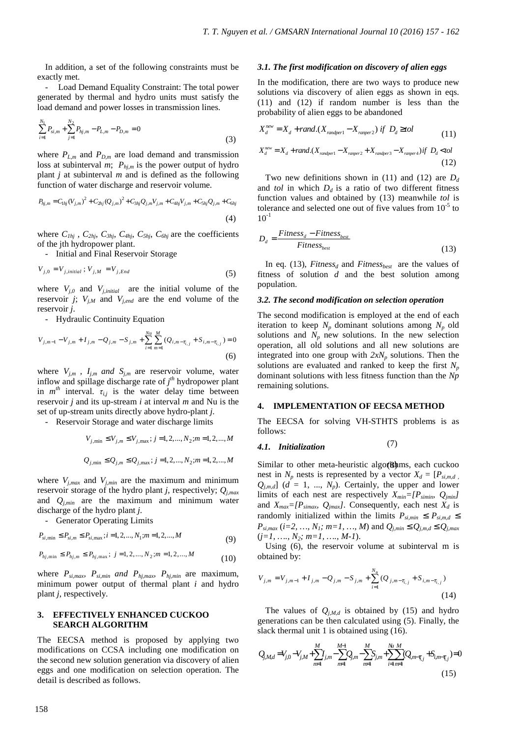In addition, a set of the following constraints must be exactly met.

- Load Demand Equality Constraint: The total power generated by thermal and hydro units must satisfy the load demand and power losses in transmission lines.

$$
\sum_{i=1}^{N_1} P_{si,m} + \sum_{j=1}^{N_2} P_{hj,m} - P_{L,m} - P_{D,m} = 0
$$
\n(3)

where  $P_{L,m}$  and  $P_{D,m}$  are load demand and transmission loss at subinterval *m*;  $P_{hj,m}$  is the power output of hydro plant *j* at subinterval *m* and is defined as the following function of water discharge and reservoir volume.

$$
P_{hj,m} = C_{1hj} (V_{j,m})^2 + C_{2hj} (Q_{j,m})^2 + C_{3hj} Q_{j,m} V_{j,m} + C_{4hj} V_{j,m} + C_{5hj} Q_{j,m} + C_{6hj}
$$
\n(4)

where  $C_{Ihj}$ ,  $C_{2hj}$ ,  $C_{3hj}$ ,  $C_{4hj}$ ,  $C_{5hj}$ ,  $C_{6hj}$  are the coefficients of the jth hydropower plant.

- Initial and Final Reservoir Storage

$$
V_{j,0} = V_{j,initial}; V_{j,M} = V_{j,End}
$$
\n
$$
\tag{5}
$$

where  $V_{j,0}$  and  $V_{j,initial}$  are the initial volume of the reservoir *j*;  $V_{j,M}$  and  $V_{j,end}$  are the end volume of the reservoir *j*.

- Hydraulic Continuity Equation

$$
V_{j,m-1} - V_{j,m} + I_{j,m} - Q_{j,m} - S_{j,m} + \sum_{i=1}^{N_u} \sum_{m=1}^{M} (Q_{i,m-\tau_{i,j}} + S_{i,m-\tau_{i,j}}) = 0
$$
\n
$$
\tag{6}
$$

where  $V_{i,m}$ ,  $I_{i,m}$  *and*  $S_{i,m}$  are reservoir volume, water inflow and spillage discharge rate of *j th* hydropower plant in  $m<sup>th</sup>$  interval.  $\tau_{i,j}$  is the water delay time between reservoir *j* and its up-stream *i* at interval *m* and Nu is the set of up-stream units directly above hydro-plant *j*.

- Reservoir Storage and water discharge limits

$$
V_{j,\min} \le V_{j,m} \le V_{j,\max}; j = 1, 2, \dots, N_2; m = 1, 2, \dots, M
$$
\n
$$
Q_{i,\min} \le Q_{i,m} \le Q_{i,\max}; j = 1, 2, \dots, N_2; m = 1, 2, \dots, M
$$
\n
$$
Q_{i,\min} \le Q_{i,\max} \le Q_{i,\max} \le Q_{i,\max} \le Q_{i,\max} \le Q_{i,\max} \le Q_{i,\max} \le Q_{i,\max} \le Q_{i,\max} \le Q_{i,\max} \le Q_{i,\max} \le Q_{i,\max} \le Q_{i,\max} \le Q_{i,\max} \le Q_{i,\max} \le Q_{i,\max} \le Q_{i,\max} \le Q_{i,\max} \le Q_{i,\max} \le Q_{i,\max} \le Q_{i,\max} \le Q_{i,\max} \le Q_{i,\max} \le Q_{i,\max} \le Q_{i,\max} \le Q_{i,\max} \le Q_{i,\max} \le Q_{i,\max} \le Q_{i,\max} \le Q_{i,\max} \le Q_{i,\max} \le Q_{i,\max} \le Q_{i,\max} \le Q_{i,\max} \le Q_{i,\max} \le Q_{i,\max} \le Q_{i,\max} \le Q_{i,\max} \le Q_{i,\max} \le Q_{i,\max} \le Q_{i,\max} \le Q_{i,\max} \le Q_{i,\max} \le Q_{i,\max} \le Q_{i,\max} \le Q_{i,\max} \le Q_{i,\max} \le Q_{i,\max} \le Q_{i,\max} \le Q_{i,\max} \le Q_{i,\max} \le Q_{i,\max} \le Q_{i,\max} \le Q_{i,\max} \le Q_{i,\max} \le Q_{i,\max} \le Q_{i,\max} \le Q_{i,\max} \le Q_{i,\max} \le Q_{i,\max} \le Q_{i,\max} \le Q_{i,\max} \le Q_{i,\max} \le Q_{i,\max} \le Q_{i,\max} \le Q_{i,\max} \le Q_{i,\max} \le Q_{i,\max} \le Q_{i,\max} \le Q_{i,\max} \le Q_{i,\max} \le Q_{i,\max} \le Q_{i,\max} \le Q_{i,\max} \le Q_{i,\max} \le Q_{i,\max} \le Q_{i,\max} \le Q_{i,\max} \le Q_{i,\max} \le Q_{i,\max} \le Q_{i
$$

where  $V_{j,max}$  and  $V_{j,min}$  are the maximum and minimum reservoir storage of the hydro plant *j*, respectively; *Qj,max* and *Qj,min* are the maximum and minimum water discharge of the hydro plant *j*.

- Generator Operating Limits

$$
P_{si, \min} \le P_{si, m} \le P_{si, \max} ; i = 1, 2, ..., N_1; m = 1, 2, ..., M
$$
\n(9)

$$
P_{hj,\min} \le P_{hj,m} \le P_{hj,\max}; \ j = 1, 2, ..., N_2; m = 1, 2, ..., M
$$
 (10)

where *Psi,max, Psi,min and Phj,max, Phj,min* are maximum, minimum power output of thermal plant *i* and hydro plant *j*, respectively*.* 

### **3. EFFECTIVELY ENHANCED CUCKOO SEARCH ALGORITHM**

The EECSA method is proposed by applying two modifications on CCSA including one modification on the second new solution generation via discovery of alien eggs and one modification on selection operation. The detail is described as follows.

### *3.1. The first modification on discovery of alien eggs*

In the modification, there are two ways to produce new solutions via discovery of alien eggs as shown in eqs. (11) and (12) if random number is less than the probability of alien eggs to be abandoned

$$
X_d^{new} = X_d + rand.(X_{randomer1} - X_{numer2}) \text{ if } D_d \geq tol \tag{11}
$$

$$
X_d^{new} = X_d + rand.(X_{randomper1} - X_{ramper2} + X_{randomPer3} - X_{ramper4}) \text{ if } D_d < tol
$$
\n
$$
(12)
$$

Two new definitions shown in (11) and (12) are  $D_d$ and *tol* in which  $D_d$  is a ratio of two different fitness function values and obtained by (13) meanwhile *tol* is tolerance and selected one out of five values from  $10^{-5}$  to  $10^{-1}$ 

$$
D_d = \frac{Fitness_d - Fitness_{best}}{Fitness_{best}}
$$
 (13)

In eq. (13), *Fitness<sub>d</sub>* and *Fitness<sub>hest</sub>* are the values of fitness of solution *d* and the best solution among population.

### *3.2. The second modification on selection operation*

The second modification is employed at the end of each iteration to keep  $N_p$  dominant solutions among  $N_p$  old solutions and  $N_p$  new solutions. In the new selection operation, all old solutions and all new solutions are integrated into one group with  $2xN_p$  solutions. Then the solutions are evaluated and ranked to keep the first *N<sup>p</sup>* dominant solutions with less fitness function than the *Np* remaining solutions.

### **4. IMPLEMENTATION OF EECSA METHOD**

The EECSA for solving VH-STHTS problems is as follows:

 $Q_{j,\min} \leq Q_{j,m} \leq Q_{j,\max}$ ;  $j = 1,2,..., N_2$ ; $m = 1,2,..., M$  Similar to other meta-heuristic algorithms, each cuckoo nest in  $N_p$  nests is represented by a vector  $X_d = [P_{si,m,d}]$ .  $Q$ <sub>*i,m,d*</sub>] (*d* = 1, ..., *N<sub>p</sub>*). Certainly, the upper and lower limits of each nest are respectively *Xmin=[Psimin, Qjmin]*  and  $X_{max} = [P_{\text{simax}} \ Q_{\text{jmax}}]$ . Consequently, each nest  $X_d$  is randomly initialized within the limits  $P_{si,min} \leq P_{si,m,d} \leq$  $P_{si,max}$  (*i*=2, …, *N*<sub>1</sub>*;*  $m=1$ , …, *M*) and  $Q_{j,min} \leq Q_{j,m,d} \leq Q_{j,max}$ (*j=1, …., N2; m=1, …., M-1*).

> Using (6), the reservoir volume at subinterval m is obtained by:

$$
V_{j,m} = V_{j,m-1} + I_{j,m} - Q_{j,m} - S_{j,m} + \sum_{i=1}^{N_u} (Q_{j,m-\tau_{i,j}} + S_{i,m-\tau_{i,j}})
$$
\n(14)

The values of  $Q_{i, M,d}$  is obtained by (15) and hydro generations can be then calculated using (5). Finally, the slack thermal unit 1 is obtained using  $(16)$ .

$$
Q_{j,M,d} = V_{j,0} - V_{j,M} + \sum_{m=1}^{M} I_{j,m} - \sum_{m=1}^{M-1} Q_{j,m} - \sum_{m=1}^{M} S_{j,m} + \sum_{i=1}^{N} Q_{i,m-\bar{\tau}_{i,j}} + S_{i,m-\bar{\tau}_{i,j}}) = 0
$$
\n(15)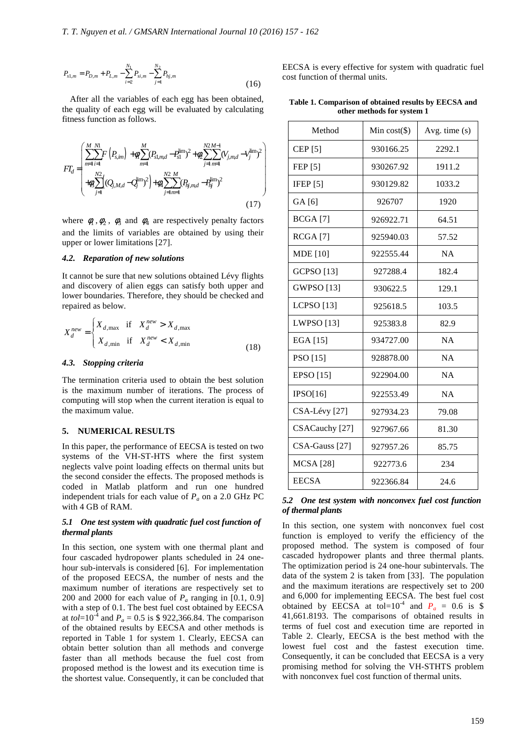$$
P_{s1,m} = P_{D,m} + P_{L,m} - \sum_{i=2}^{N_1} P_{si,m} - \sum_{j=1}^{N_2} P_{hj,m}
$$
\n(16)

After all the variables of each egg has been obtained, the quality of each egg will be evaluated by calculating fitness function as follows.

$$
FT_d = \begin{pmatrix} \sum_{m=1}^{M} F\left(P_{s,m}\right) + \mathcal{A} \sum_{m=1}^{M} (P_{s1,md} - P_{s1}^{\text{lim}})^2 + \mathcal{A} \sum_{j=1}^{N2} \sum_{m=1}^{M-1} (V_{j,md} - V_j^{\text{lim}})^2\\ + \mathcal{A} \sum_{j=1}^{N2} (Q_{j,M,d} - Q_j^{\text{lim}})^2 + \mathcal{A} \sum_{j=1}^{N2} \sum_{m=1}^{M} (P_{ij,md} - P_{lj}^{\text{lim}})^2 \end{pmatrix}
$$
\n(17)

where  $\phi_1$ ,  $\phi_2$ ,  $\phi_3$  and  $\phi_4$  are respectively penalty factors and the limits of variables are obtained by using their upper or lower limitations [27].

### *4.2. Reparation of new solutions*

It cannot be sure that new solutions obtained Lévy flights and discovery of alien eggs can satisfy both upper and lower boundaries. Therefore, they should be checked and repaired as below.

$$
X_d^{new} = \begin{cases} X_{d,\text{max}} & \text{if } X_d^{new} > X_{d,\text{max}} \\ X_{d,\text{min}} & \text{if } X_d^{new} < X_{d,\text{min}} \end{cases} \tag{18}
$$

### *4.3. Stopping criteria*

The termination criteria used to obtain the best solution is the maximum number of iterations. The process of computing will stop when the current iteration is equal to the maximum value.

### **5. NUMERICAL RESULTS**

In this paper, the performance of EECSA is tested on two systems of the VH-ST-HTS where the first system neglects valve point loading effects on thermal units but the second consider the effects. The proposed methods is coded in Matlab platform and run one hundred independent trials for each value of  $P_a$  on a 2.0 GHz PC with 4 GB of RAM.

### *5.1 One test system with quadratic fuel cost function of thermal plants*

In this section, one system with one thermal plant and four cascaded hydropower plants scheduled in 24 onehour sub-intervals is considered [6]. For implementation of the proposed EECSA, the number of nests and the maximum number of iterations are respectively set to 200 and 2000 for each value of  $P_a$  ranging in [0.1, 0.9] with a step of 0.1. The best fuel cost obtained by EECSA at *tol*=10<sup>-4</sup> and  $P_a = 0.5$  is \$ 922,366.84. The comparison of the obtained results by EECSA and other methods is reported in Table 1 for system 1. Clearly, EECSA can obtain better solution than all methods and converge faster than all methods because the fuel cost from proposed method is the lowest and its execution time is the shortest value. Consequently, it can be concluded that EECSA is every effective for system with quadratic fuel cost function of thermal units.

**Table 1. Comparison of obtained results by EECSA and other methods for system 1** 

| Method             | Min $cost(\$))$ | Avg. time $(s)$ |
|--------------------|-----------------|-----------------|
| CEP <sup>[5]</sup> | 930166.25       | 2292.1          |
| FEP [5]            | 930267.92       | 1911.2          |
| IFEP $[5]$         | 930129.82       | 1033.2          |
| GA [6]             | 926707          | 1920            |
| <b>BCGA</b> [7]    | 926922.71       | 64.51           |
| RCGA [7]           | 925940.03       | 57.52           |
| <b>MDE</b> [10]    | 922555.44       | <b>NA</b>       |
| <b>GCPSO</b> [13]  | 927288.4        | 182.4           |
| GWPSO [13]         | 930622.5        | 129.1           |
| <b>LCPSO</b> [13]  | 925618.5        | 103.5           |
| <b>LWPSO</b> [13]  | 925383.8        | 82.9            |
| EGA [15]           | 934727.00       | NA              |
| PSO [15]           | 928878.00       | <b>NA</b>       |
| <b>EPSO</b> [15]   | 922904.00       | NA              |
| IPSO[16]           | 922553.49       | <b>NA</b>       |
| CSA-Lévy [27]      | 927934.23       | 79.08           |
| CSACauchy [27]     | 927967.66       | 81.30           |
| $CSA-Gauss [27]$   | 927957.26       | 85.75           |
| <b>MCSA</b> [28]   | 922773.6        | 234             |
| <b>EECSA</b>       | 922366.84       | 24.6            |

### *5.2 One test system with nonconvex fuel cost function of thermal plants*

In this section, one system with nonconvex fuel cost function is employed to verify the efficiency of the proposed method. The system is composed of four cascaded hydropower plants and three thermal plants. The optimization period is 24 one-hour subintervals. The data of the system 2 is taken from [33]. The population and the maximum iterations are respectively set to 200 and 6,000 for implementing EECSA. The best fuel cost obtained by EECSA at tol=10<sup>-4</sup> and  $P_a = 0.6$  is \$ 41,661.8193. The comparisons of obtained results in terms of fuel cost and execution time are reported in Table 2. Clearly, EECSA is the best method with the lowest fuel cost and the fastest execution time. Consequently, it can be concluded that EECSA is a very promising method for solving the VH-STHTS problem with nonconvex fuel cost function of thermal units.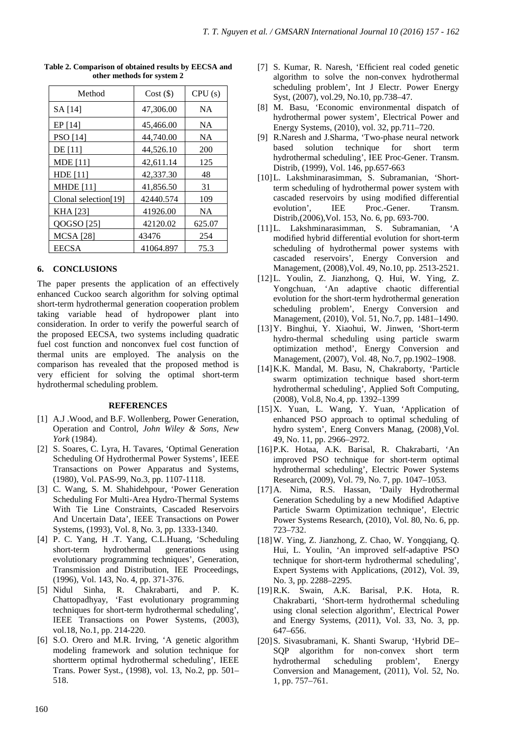| Method               | $Cost (\$)$ | CPU(s)    |
|----------------------|-------------|-----------|
| SA [14]              | 47,306.00   | <b>NA</b> |
| EP [14]              | 45,466.00   | NA        |
| PSO [14]             | 44,740.00   | NA        |
| DE [11]              | 44,526.10   | 200       |
| <b>MDE</b> [11]      | 42,611.14   | 125       |
| <b>HDE</b> [11]      | 42,337.30   | 48        |
| <b>MHDE</b> [11]     | 41,856.50   | 31        |
| Clonal selection[19] | 42440.574   | 109       |
| KHA [23]             | 41926.00    | <b>NA</b> |
| QOGSO [25]           | 42120.02    | 625.07    |
| <b>MCSA</b> [28]     | 43476       | 254       |
| <b>EECSA</b>         | 41064.897   | 75.3      |

**Table 2. Comparison of obtained results by EECSA and other methods for system 2** 

## **6. CONCLUSIONS**

The paper presents the application of an effectively enhanced Cuckoo search algorithm for solving optimal short-term hydrothermal generation cooperation problem taking variable head of hydropower plant into consideration. In order to verify the powerful search of the proposed EECSA, two systems including quadratic fuel cost function and nonconvex fuel cost function of thermal units are employed. The analysis on the comparison has revealed that the proposed method is very efficient for solving the optimal short-term hydrothermal scheduling problem.

### **REFERENCES**

- [1] A.J .Wood, and B.F. Wollenberg, Power Generation, Operation and Control, *John Wiley & Sons, New York* (1984).
- [2] S. Soares, C. Lyra, H. Tavares, 'Optimal Generation Scheduling Of Hydrothermal Power Systems', IEEE Transactions on Power Apparatus and Systems, (1980), Vol. PAS-99, No.3, pp. 1107-1118.
- [3] C. Wang, S. M. Shahidehpour, 'Power Generation Scheduling For Multi-Area Hydro-Thermal Systems With Tie Line Constraints, Cascaded Reservoirs And Uncertain Data', IEEE Transactions on Power Systems, (1993), Vol. 8, No. 3, pp. 1333-1340.
- [4] P. C. Yang, H .T. Yang, C.L.Huang, 'Scheduling short-term hydrothermal generations using evolutionary programming techniques', Generation, Transmission and Distribution, IEE Proceedings, (1996), Vol. 143, No. 4, pp. 371-376.
- [5] Nidul Sinha, R. Chakrabarti, and P. K. Chattopadhyay, 'Fast evolutionary programming techniques for short-term hydrothermal scheduling', IEEE Transactions on Power Systems, (2003), vol.18, No.1, pp. 214-220.
- [6] S.O. Orero and M.R. Irving, 'A genetic algorithm modeling framework and solution technique for shortterm optimal hydrothermal scheduling', IEEE Trans. Power Syst., (1998), vol. 13, No.2, pp. 501– 518.
- [7] S. Kumar, R. Naresh, 'Efficient real coded genetic algorithm to solve the non-convex hydrothermal scheduling problem', Int J Electr. Power Energy Syst, (2007), vol.29, No.10, pp.738–47.
- [8] M. Basu, 'Economic environmental dispatch of hydrothermal power system', Electrical Power and Energy Systems, (2010), vol. 32, pp.711–720.
- [9] R.Naresh and J.Sharma, 'Two-phase neural network based solution technique for short term hydrothermal scheduling', IEE Proc-Gener. Transm. Distrib, (1999), Vol. 146, pp.657-663
- [10]L. Lakshminarasimman, S. Subramanian, 'Shortterm scheduling of hydrothermal power system with cascaded reservoirs by using modified differential evolution', IEE Proc.-Gener. Transm. Distrib,(2006),Vol. 153, No. 6, pp. 693-700.
- [11]L. Lakshminarasimman, S. Subramanian, 'A modified hybrid differential evolution for short-term scheduling of hydrothermal power systems with cascaded reservoirs', Energy Conversion and Management, (2008),Vol. 49, No.10, pp. 2513-2521.
- [12]L. Youlin, Z. Jianzhong, Q. Hui, W. Ying, Z. Yongchuan, 'An adaptive chaotic differential evolution for the short-term hydrothermal generation scheduling problem', Energy Conversion and Management, (2010), Vol. 51, No.7, pp. 1481–1490.
- [13]Y. Binghui, Y. Xiaohui, W. Jinwen, 'Short-term hydro-thermal scheduling using particle swarm optimization method', Energy Conversion and Management, (2007), Vol. 48, No.7, pp.1902–1908.
- [14]K.K. Mandal, M. Basu, N, Chakraborty, 'Particle swarm optimization technique based short-term hydrothermal scheduling', Applied Soft Computing, (2008), Vol.8, No.4, pp. 1392–1399
- [15]X. Yuan, L. Wang, Y. Yuan, 'Application of enhanced PSO approach to optimal scheduling of hydro system', Energ Convers Manag, (2008)¸Vol. 49, No. 11, pp. 2966–2972.
- [16]P.K. Hotaa, A.K. Barisal, R. Chakrabarti, 'An improved PSO technique for short-term optimal hydrothermal scheduling', Electric Power Systems Research, (2009), Vol. 79, No. 7, pp. 1047–1053.
- [17]A. Nima, R.S. Hassan, 'Daily Hydrothermal Generation Scheduling by a new Modified Adaptive Particle Swarm Optimization technique', Electric Power Systems Research, (2010), Vol. 80, No. 6, pp. 723–732.
- [18]W. Ying, Z. Jianzhong, Z. Chao, W. Yongqiang, Q. Hui, L. Youlin, 'An improved self-adaptive PSO technique for short-term hydrothermal scheduling', Expert Systems with Applications, (2012), Vol. 39, No. 3, pp. 2288–2295.
- [19]R.K. Swain, A.K. Barisal, P.K. Hota, R. Chakrabarti, 'Short-term hydrothermal scheduling using clonal selection algorithm', Electrical Power and Energy Systems, (2011), Vol. 33, No. 3, pp. 647–656.
- [20]S. Sivasubramani, K. Shanti Swarup, 'Hybrid DE– SQP algorithm for non-convex short term hydrothermal scheduling problem', Energy Conversion and Management, (2011), Vol. 52, No. 1, pp. 757–761.